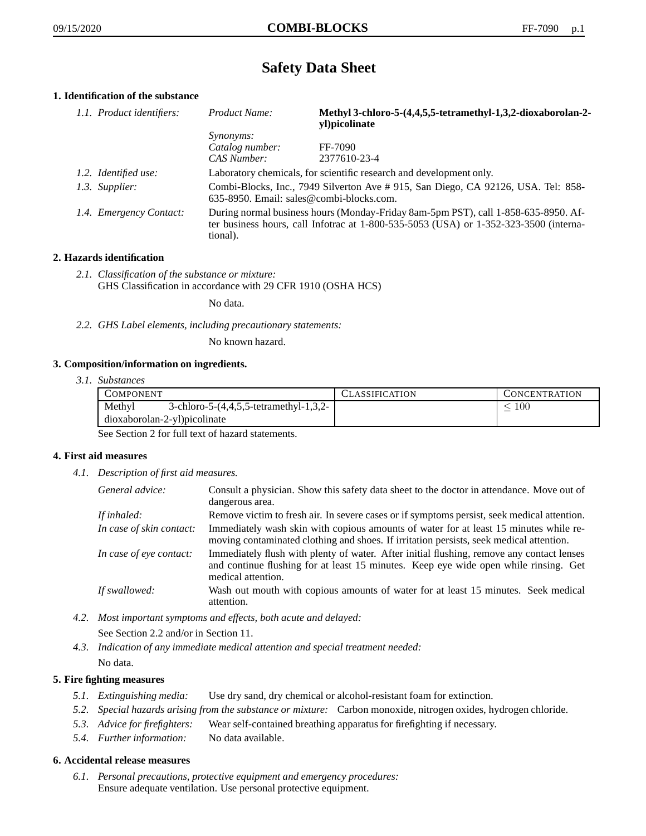# **Safety Data Sheet**

# **1. Identification of the substance**

| 1.1. Product identifiers: | Product Name:                                                                                                                                                                           | Methyl 3-chloro-5-(4,4,5,5-tetramethyl-1,3,2-dioxaborolan-2-<br>yl)picolinate |
|---------------------------|-----------------------------------------------------------------------------------------------------------------------------------------------------------------------------------------|-------------------------------------------------------------------------------|
|                           | <i>Synonyms:</i>                                                                                                                                                                        |                                                                               |
|                           | Catalog number:                                                                                                                                                                         | FF-7090                                                                       |
|                           | CAS Number:                                                                                                                                                                             | 2377610-23-4                                                                  |
| 1.2. Identified use:      | Laboratory chemicals, for scientific research and development only.                                                                                                                     |                                                                               |
| 1.3. Supplier:            | Combi-Blocks, Inc., 7949 Silverton Ave #915, San Diego, CA 92126, USA. Tel: 858-<br>635-8950. Email: sales@combi-blocks.com.                                                            |                                                                               |
| 1.4. Emergency Contact:   | During normal business hours (Monday-Friday 8am-5pm PST), call 1-858-635-8950. Af-<br>ter business hours, call Infotrac at 1-800-535-5053 (USA) or 1-352-323-3500 (interna-<br>tional). |                                                                               |

## **2. Hazards identification**

*2.1. Classification of the substance or mixture:* GHS Classification in accordance with 29 CFR 1910 (OSHA HCS)

No data.

*2.2. GHS Label elements, including precautionary statements:*

No known hazard.

### **3. Composition/information on ingredients.**

*3.1. Substances*

| COMPONENT                                        | CLASSIFICATION | CONCENTRATION |
|--------------------------------------------------|----------------|---------------|
| Methyl<br>3-chloro-5-(4,4,5,5-tetramethyl-1,3,2- |                | 100           |
| dioxaborolan-2-yl)picolinate                     |                |               |

See Section 2 for full text of hazard statements.

### **4. First aid measures**

*4.1. Description of first aid measures.*

| General advice:          | Consult a physician. Show this safety data sheet to the doctor in attendance. Move out of<br>dangerous area.                                                                                            |
|--------------------------|---------------------------------------------------------------------------------------------------------------------------------------------------------------------------------------------------------|
| If inhaled:              | Remove victim to fresh air. In severe cases or if symptoms persist, seek medical attention.                                                                                                             |
| In case of skin contact: | Immediately wash skin with copious amounts of water for at least 15 minutes while re-<br>moving contaminated clothing and shoes. If irritation persists, seek medical attention.                        |
| In case of eye contact:  | Immediately flush with plenty of water. After initial flushing, remove any contact lenses<br>and continue flushing for at least 15 minutes. Keep eye wide open while rinsing. Get<br>medical attention. |
| If swallowed:            | Wash out mouth with copious amounts of water for at least 15 minutes. Seek medical<br>attention.                                                                                                        |

- *4.2. Most important symptoms and effects, both acute and delayed:* See Section 2.2 and/or in Section 11.
- *4.3. Indication of any immediate medical attention and special treatment needed:* No data.

## **5. Fire fighting measures**

- *5.1. Extinguishing media:* Use dry sand, dry chemical or alcohol-resistant foam for extinction.
- *5.2. Special hazards arising from the substance or mixture:* Carbon monoxide, nitrogen oxides, hydrogen chloride.
- *5.3. Advice for firefighters:* Wear self-contained breathing apparatus for firefighting if necessary.
- *5.4. Further information:* No data available.

### **6. Accidental release measures**

*6.1. Personal precautions, protective equipment and emergency procedures:* Ensure adequate ventilation. Use personal protective equipment.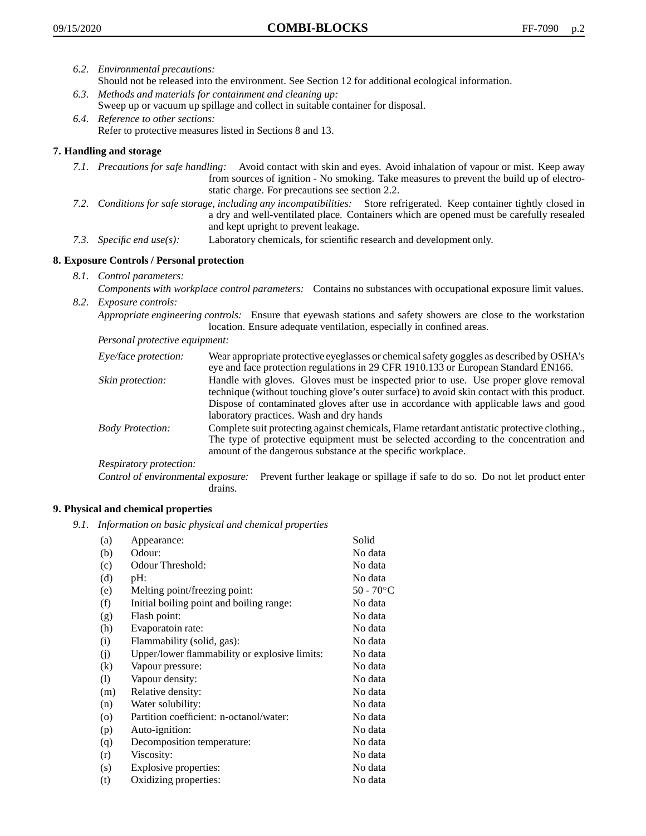- *6.2. Environmental precautions:*
	- Should not be released into the environment. See Section 12 for additional ecological information.
- *6.3. Methods and materials for containment and cleaning up:* Sweep up or vacuum up spillage and collect in suitable container for disposal.
- *6.4. Reference to other sections:* Refer to protective measures listed in Sections 8 and 13.

## **7. Handling and storage**

- *7.1. Precautions for safe handling:* Avoid contact with skin and eyes. Avoid inhalation of vapour or mist. Keep away from sources of ignition - No smoking. Take measures to prevent the build up of electrostatic charge. For precautions see section 2.2.
- *7.2. Conditions for safe storage, including any incompatibilities:* Store refrigerated. Keep container tightly closed in a dry and well-ventilated place. Containers which are opened must be carefully resealed and kept upright to prevent leakage.
- *7.3. Specific end use(s):* Laboratory chemicals, for scientific research and development only.

## **8. Exposure Controls / Personal protection**

- *8.1. Control parameters:*
- *Components with workplace control parameters:* Contains no substances with occupational exposure limit values. *8.2. Exposure controls:*

*Appropriate engineering controls:* Ensure that eyewash stations and safety showers are close to the workstation location. Ensure adequate ventilation, especially in confined areas.

*Personal protective equipment:*

| Eye/face protection:    | Wear appropriate protective eyeglasses or chemical safety goggles as described by OSHA's<br>eye and face protection regulations in 29 CFR 1910.133 or European Standard EN166.                                                                                                                                         |
|-------------------------|------------------------------------------------------------------------------------------------------------------------------------------------------------------------------------------------------------------------------------------------------------------------------------------------------------------------|
| Skin protection:        | Handle with gloves. Gloves must be inspected prior to use. Use proper glove removal<br>technique (without touching glove's outer surface) to avoid skin contact with this product.<br>Dispose of contaminated gloves after use in accordance with applicable laws and good<br>laboratory practices. Wash and dry hands |
| <b>Body Protection:</b> | Complete suit protecting against chemicals, Flame retardant antistatic protective clothing.,<br>The type of protective equipment must be selected according to the concentration and<br>amount of the dangerous substance at the specific workplace.                                                                   |
| Respiratory protection: |                                                                                                                                                                                                                                                                                                                        |

Control of environmental exposure: Prevent further leakage or spillage if safe to do so. Do not let product enter drains.

### **9. Physical and chemical properties**

*9.1. Information on basic physical and chemical properties*

| (a)                | Appearance:                                   | Solid        |
|--------------------|-----------------------------------------------|--------------|
| (b)                | Odour:                                        | No data      |
| (c)                | Odour Threshold:                              | No data      |
| (d)                | pH:                                           | No data      |
| (e)                | Melting point/freezing point:                 | $50 - 70$ °C |
| (f)                | Initial boiling point and boiling range:      | No data      |
| (g)                | Flash point:                                  | No data      |
| (h)                | Evaporatoin rate:                             | No data      |
| (i)                | Flammability (solid, gas):                    | No data      |
| (j)                | Upper/lower flammability or explosive limits: | No data      |
| (k)                | Vapour pressure:                              | No data      |
| (1)                | Vapour density:                               | No data      |
| (m)                | Relative density:                             | No data      |
| (n)                | Water solubility:                             | No data      |
| $\left( 0 \right)$ | Partition coefficient: n-octanol/water:       | No data      |
| (p)                | Auto-ignition:                                | No data      |
| (q)                | Decomposition temperature:                    | No data      |
| (r)                | Viscosity:                                    | No data      |
| (s)                | Explosive properties:                         | No data      |
| (t)                | Oxidizing properties:                         | No data      |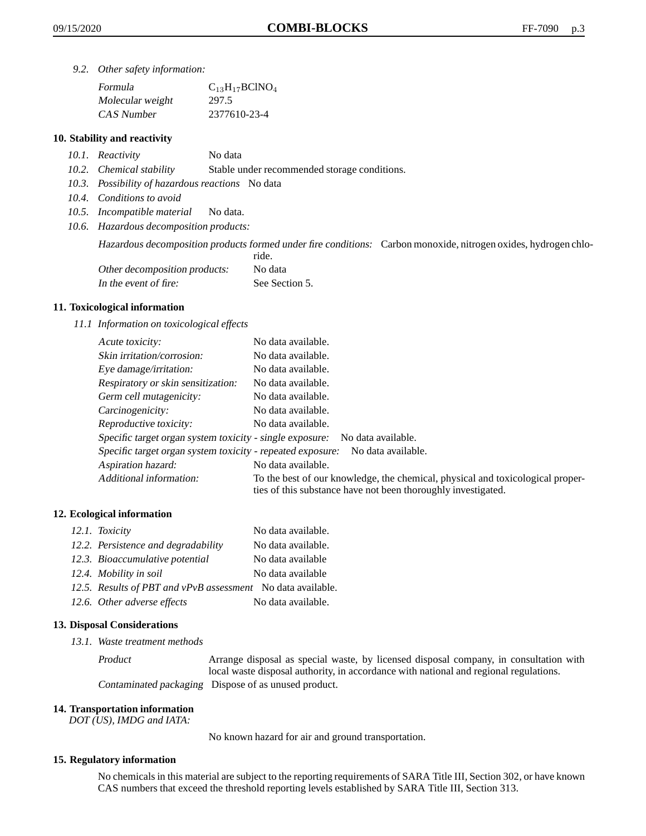*9.2. Other safety information:*

| Formula          | $C_{13}H_{17}BCINO_4$ |
|------------------|-----------------------|
| Molecular weight | 297.5                 |
| CAS Number       | 2377610-23-4          |

### **10. Stability and reactivity**

- *10.1. Reactivity* No data
- *10.2. Chemical stability* Stable under recommended storage conditions.
- *10.3. Possibility of hazardous reactions* No data
- *10.4. Conditions to avoid*
- *10.5. Incompatible material* No data.
- *10.6. Hazardous decomposition products:*

Hazardous decomposition products formed under fire conditions: Carbon monoxide, nitrogen oxides, hydrogen chlo-

|                               | ride.          |
|-------------------------------|----------------|
| Other decomposition products: | No data        |
| In the event of fire:         | See Section 5. |

#### **11. Toxicological information**

*11.1 Information on toxicological effects*

| Acute toxicity:                                                                  | No data available.                                                                                                                              |  |
|----------------------------------------------------------------------------------|-------------------------------------------------------------------------------------------------------------------------------------------------|--|
| Skin irritation/corrosion:                                                       | No data available.                                                                                                                              |  |
| Eye damage/irritation:                                                           | No data available.                                                                                                                              |  |
| Respiratory or skin sensitization:                                               | No data available.                                                                                                                              |  |
| Germ cell mutagenicity:                                                          | No data available.                                                                                                                              |  |
| Carcinogenicity:                                                                 | No data available.                                                                                                                              |  |
| Reproductive toxicity:                                                           | No data available.                                                                                                                              |  |
| Specific target organ system toxicity - single exposure:                         | No data available.                                                                                                                              |  |
| Specific target organ system toxicity - repeated exposure:<br>No data available. |                                                                                                                                                 |  |
| Aspiration hazard:                                                               | No data available.                                                                                                                              |  |
| Additional information:                                                          | To the best of our knowledge, the chemical, physical and toxicological proper-<br>ties of this substance have not been thoroughly investigated. |  |

#### **12. Ecological information**

| 12.1. Toxicity                                              | No data available. |
|-------------------------------------------------------------|--------------------|
| 12.2. Persistence and degradability                         | No data available. |
| 12.3. Bioaccumulative potential                             | No data available  |
| 12.4. Mobility in soil                                      | No data available  |
| 12.5. Results of PBT and vPvB assessment No data available. |                    |
| 12.6. Other adverse effects                                 | No data available. |

#### **13. Disposal Considerations**

*13.1. Waste treatment methods*

Product Arrange disposal as special waste, by licensed disposal company, in consultation with local waste disposal authority, in accordance with national and regional regulations. Contaminated packaging Dispose of as unused product.

#### **14. Transportation information**

*DOT (US), IMDG and IATA:*

No known hazard for air and ground transportation.

### **15. Regulatory information**

No chemicals in this material are subject to the reporting requirements of SARA Title III, Section 302, or have known CAS numbers that exceed the threshold reporting levels established by SARA Title III, Section 313.